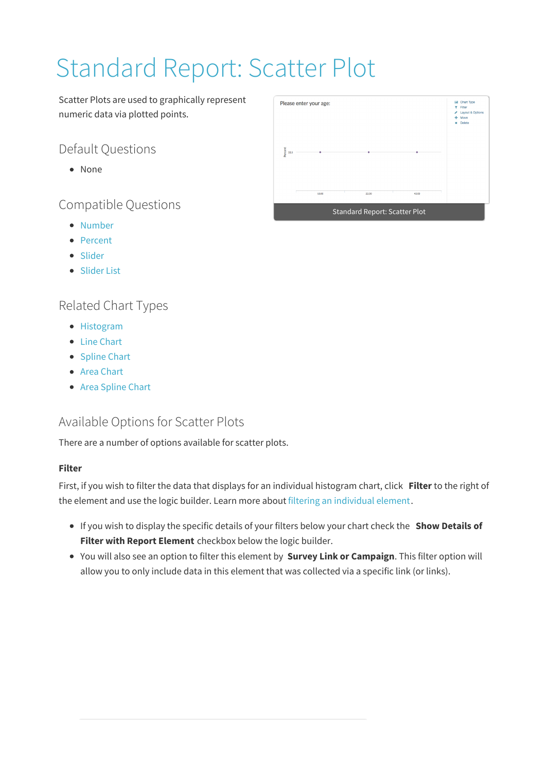# Standard Report: Scatter Plot

Scatter Plots are used to graphically represent numeric data via plotted points.

## Default Questions

None

Compatible Questions

- Number
- Percent
- Slider
- Slider List

## Related Chart Types

- Histogram
- Line Chart
- Spline Chart
- Area Chart
- Area Spline Chart

## Available Options for Scatter Plots

There are a number of options available for scatter plots.

#### **Filter**

First, if you wish to filter the data that displays for an individual histogram chart, click **Filter** to the right of the element and use the logic builder. Learn more about filtering an individual element.

- If you wish to display the specific details of your filters below your chart check the **Show Details of Filter with Report Element** checkbox below the logic builder.
- You will also see an option to filter this element by **Survey Link or Campaign**. This filter option will allow you to only include data in this element that was collected via a specific link (or links).

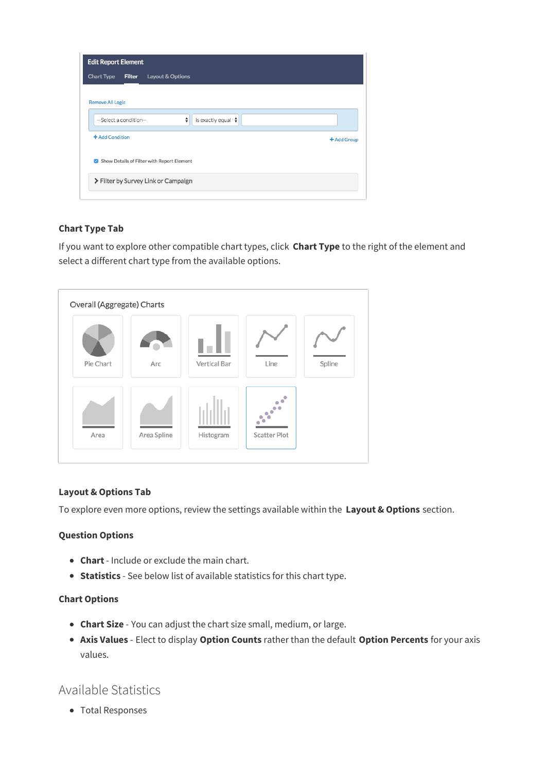| <b>Edit Report Element</b>                         |             |
|----------------------------------------------------|-------------|
| <b>Chart Type</b><br>Filter<br>Layout & Options    |             |
|                                                    |             |
| <b>Remove All Logic</b>                            |             |
| ÷<br>is exactly equal t♦<br>--Select a condition-- |             |
| + Add Condition                                    | + Add Group |
| Show Details of Filter with Report Element         |             |
| > Filter by Survey Link or Campaign                |             |
|                                                    |             |

#### **Chart Type Tab**

If you want to explore other compatible chart types, click **Chart Type** to the right of the element and select a different chart type from the available options.



#### **Layout & Options Tab**

To explore even more options, review the settings available within the **Layout & Options** section.

#### **Question Options**

- **Chart** Include or exclude the main chart.
- **Statistics** See below list of available statistics for this chart type.

#### **Chart Options**

- **Chart Size** You can adjust the chart size small, medium, or large.
- **Axis Values** Elect to display **Option Counts** rather than the default **Option Percents** for your axis values.

### Available Statistics

Total Responses